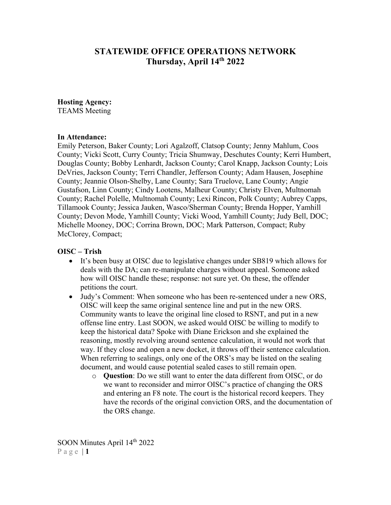# **STATEWIDE OFFICE OPERATIONS NETWORK Thursday, April 14th 2022**

#### **Hosting Agency:**

TEAMS Meeting

#### **In Attendance:**

Emily Peterson, Baker County; Lori Agalzoff, Clatsop County; Jenny Mahlum, Coos County; Vicki Scott, Curry County; Tricia Shumway, Deschutes County; Kerri Humbert, Douglas County; Bobby Lenhardt, Jackson County; Carol Knapp, Jackson County; Lois DeVries, Jackson County; Terri Chandler, Jefferson County; Adam Hausen, Josephine County; Jeannie Olson-Shelby, Lane County; Sara Truelove, Lane County; Angie Gustafson, Linn County; Cindy Lootens, Malheur County; Christy Elven, Multnomah County; Rachel Polelle, Multnomah County; Lexi Rincon, Polk County; Aubrey Capps, Tillamook County; Jessica Jauken, Wasco/Sherman County; Brenda Hopper, Yamhill County; Devon Mode, Yamhill County; Vicki Wood, Yamhill County; Judy Bell, DOC; Michelle Mooney, DOC; Corrina Brown, DOC; Mark Patterson, Compact; Ruby McClorey, Compact;

#### **OISC – Trish**

- It's been busy at OISC due to legislative changes under SB819 which allows for deals with the DA; can re-manipulate charges without appeal. Someone asked how will OISC handle these; response: not sure yet. On these, the offender petitions the court.
- Judy's Comment: When someone who has been re-sentenced under a new ORS, OISC will keep the same original sentence line and put in the new ORS. Community wants to leave the original line closed to RSNT, and put in a new offense line entry. Last SOON, we asked would OISC be willing to modify to keep the historical data? Spoke with Diane Erickson and she explained the reasoning, mostly revolving around sentence calculation, it would not work that way. If they close and open a new docket, it throws off their sentence calculation. When referring to sealings, only one of the ORS's may be listed on the sealing document, and would cause potential sealed cases to still remain open.
	- o **Question**: Do we still want to enter the data different from OISC, or do we want to reconsider and mirror OISC's practice of changing the ORS and entering an F8 note. The court is the historical record keepers. They have the records of the original conviction ORS, and the documentation of the ORS change.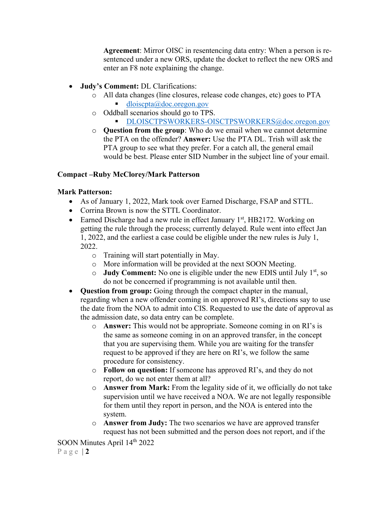**Agreement**: Mirror OISC in resentencing data entry: When a person is resentenced under a new ORS, update the docket to reflect the new ORS and enter an F8 note explaining the change.

- **Judy's Comment:** DL Clarifications:
	- o All data changes (line closures, release code changes, etc) goes to PTA [dloiscpta@doc.oregon.gov](mailto:dloiscpta@doc.oregon.gov)
	- o Oddball scenarios should go to TPS.
		- [DLOISCTPSWORKERS-OISCTPSWORKERS@doc.oregon.gov](mailto:DLOISCTPSWORKERS-OISCTPSWORKERS@doc.oregon.gov)
	- o **Question from the group**: Who do we email when we cannot determine the PTA on the offender? **Answer:** Use the PTA DL. Trish will ask the PTA group to see what they prefer. For a catch all, the general email would be best. Please enter SID Number in the subject line of your email.

#### **Compact –Ruby McClorey/Mark Patterson**

#### **Mark Patterson:**

- As of January 1, 2022, Mark took over Earned Discharge, FSAP and STTL.
- Corrina Brown is now the STTL Coordinator.
- Earned Discharge had a new rule in effect January  $1<sup>st</sup>$ , HB2172. Working on getting the rule through the process; currently delayed. Rule went into effect Jan 1, 2022, and the earliest a case could be eligible under the new rules is July 1, 2022.
	- o Training will start potentially in May.
	- o More information will be provided at the next SOON Meeting.
	- o **Judy Comment:** No one is eligible under the new EDIS until July 1st, so do not be concerned if programming is not available until then.
- **Question from group:** Going through the compact chapter in the manual, regarding when a new offender coming in on approved RI's, directions say to use the date from the NOA to admit into CIS. Requested to use the date of approval as the admission date, so data entry can be complete.
	- o **Answer:** This would not be appropriate. Someone coming in on RI's is the same as someone coming in on an approved transfer, in the concept that you are supervising them. While you are waiting for the transfer request to be approved if they are here on RI's, we follow the same procedure for consistency.
	- o **Follow on question:** If someone has approved RI's, and they do not report, do we not enter them at all?
	- o **Answer from Mark:** From the legality side of it, we officially do not take supervision until we have received a NOA. We are not legally responsible for them until they report in person, and the NOA is entered into the system.
	- o **Answer from Judy:** The two scenarios we have are approved transfer request has not been submitted and the person does not report, and if the

SOON Minutes April 14<sup>th</sup> 2022

Page | **2**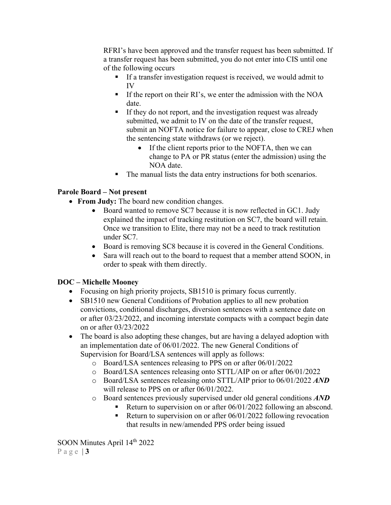RFRI's have been approved and the transfer request has been submitted. If a transfer request has been submitted, you do not enter into CIS until one of the following occurs

- If a transfer investigation request is received, we would admit to IV
- If the report on their RI's, we enter the admission with the NOA date.
- If they do not report, and the investigation request was already submitted, we admit to IV on the date of the transfer request, submit an NOFTA notice for failure to appear, close to CREJ when the sentencing state withdraws (or we reject).
	- If the client reports prior to the NOFTA, then we can change to PA or PR status (enter the admission) using the NOA date.
- The manual lists the data entry instructions for both scenarios.

# **Parole Board – Not present**

- **From Judy:** The board new condition changes.
	- Board wanted to remove SC7 because it is now reflected in GC1. Judy explained the impact of tracking restitution on SC7, the board will retain. Once we transition to Elite, there may not be a need to track restitution under SC7.
	- Board is removing SC8 because it is covered in the General Conditions.
	- Sara will reach out to the board to request that a member attend SOON, in order to speak with them directly.

# **DOC – Michelle Mooney**

- Focusing on high priority projects, SB1510 is primary focus currently.
- SB1510 new General Conditions of Probation applies to all new probation convictions, conditional discharges, diversion sentences with a sentence date on or after 03/23/2022, and incoming interstate compacts with a compact begin date on or after 03/23/2022
- The board is also adopting these changes, but are having a delayed adoption with an implementation date of 06/01/2022. The new General Conditions of Supervision for Board/LSA sentences will apply as follows:
	- o Board/LSA sentences releasing to PPS on or after 06/01/2022
	- o Board/LSA sentences releasing onto STTL/AIP on or after 06/01/2022
	- o Board/LSA sentences releasing onto STTL/AIP prior to 06/01/2022 *AND* will release to PPS on or after 06/01/2022.
	- o Board sentences previously supervised under old general conditions *AND*
		- Return to supervision on or after 06/01/2022 following an abscond.
		- Return to supervision on or after 06/01/2022 following revocation that results in new/amended PPS order being issued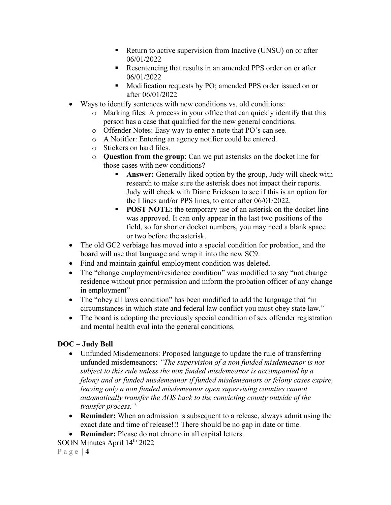- Return to active supervision from Inactive (UNSU) on or after 06/01/2022
- Resentencing that results in an amended PPS order on or after 06/01/2022
- Modification requests by PO; amended PPS order issued on or after 06/01/2022
- Ways to identify sentences with new conditions vs. old conditions:
	- o Marking files: A process in your office that can quickly identify that this person has a case that qualified for the new general conditions.
	- o Offender Notes: Easy way to enter a note that PO's can see.
	- o A Notifier: Entering an agency notifier could be entered.
	- o Stickers on hard files.
	- o **Question from the group**: Can we put asterisks on the docket line for those cases with new conditions?
		- **Answer:** Generally liked option by the group, Judy will check with research to make sure the asterisk does not impact their reports. Judy will check with Diane Erickson to see if this is an option for the I lines and/or PPS lines, to enter after 06/01/2022.
		- **POST NOTE:** the temporary use of an asterisk on the docket line was approved. It can only appear in the last two positions of the field, so for shorter docket numbers, you may need a blank space or two before the asterisk.
- The old GC2 verbiage has moved into a special condition for probation, and the board will use that language and wrap it into the new SC9.
- Find and maintain gainful employment condition was deleted.
- The "change employment/residence condition" was modified to say "not change residence without prior permission and inform the probation officer of any change in employment"
- The "obey all laws condition" has been modified to add the language that "in circumstances in which state and federal law conflict you must obey state law."
- The board is adopting the previously special condition of sex offender registration and mental health eval into the general conditions.

# **DOC – Judy Bell**

- Unfunded Misdemeanors: Proposed language to update the rule of transferring unfunded misdemeanors: *"The supervision of a non funded misdemeanor is not subject to this rule unless the non funded misdemeanor is accompanied by a felony and or funded misdemeanor if funded misdemeanors or felony cases expire, leaving only a non funded misdemeanor open supervising counties cannot automatically transfer the AOS back to the convicting county outside of the transfer process."*
- **Reminder:** When an admission is subsequent to a release, always admit using the exact date and time of release!!! There should be no gap in date or time.
- **Reminder:** Please do not chrono in all capital letters.

SOON Minutes April 14<sup>th</sup> 2022

Page | **4**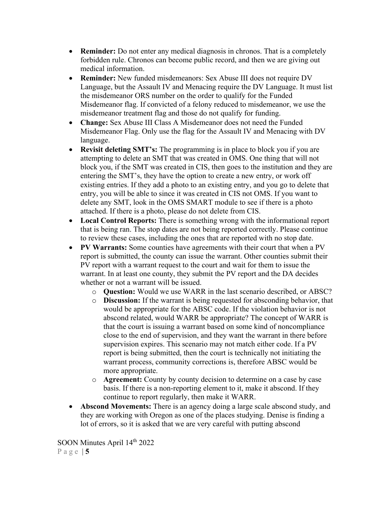- **Reminder:** Do not enter any medical diagnosis in chronos. That is a completely forbidden rule. Chronos can become public record, and then we are giving out medical information.
- **Reminder:** New funded misdemeanors: Sex Abuse III does not require DV Language, but the Assault IV and Menacing require the DV Language. It must list the misdemeanor ORS number on the order to qualify for the Funded Misdemeanor flag. If convicted of a felony reduced to misdemeanor, we use the misdemeanor treatment flag and those do not qualify for funding.
- **Change:** Sex Abuse III Class A Misdemeanor does not need the Funded Misdemeanor Flag. Only use the flag for the Assault IV and Menacing with DV language.
- **Revisit deleting SMT's:** The programming is in place to block you if you are attempting to delete an SMT that was created in OMS. One thing that will not block you, if the SMT was created in CIS, then goes to the institution and they are entering the SMT's, they have the option to create a new entry, or work off existing entries. If they add a photo to an existing entry, and you go to delete that entry, you will be able to since it was created in CIS not OMS. If you want to delete any SMT, look in the OMS SMART module to see if there is a photo attached. If there is a photo, please do not delete from CIS.
- **Local Control Reports:** There is something wrong with the informational report that is being ran. The stop dates are not being reported correctly. Please continue to review these cases, including the ones that are reported with no stop date.
- **PV Warrants:** Some counties have agreements with their court that when a PV report is submitted, the county can issue the warrant. Other counties submit their PV report with a warrant request to the court and wait for them to issue the warrant. In at least one county, they submit the PV report and the DA decides whether or not a warrant will be issued.
	- o **Question:** Would we use WARR in the last scenario described, or ABSC?
	- o **Discussion:** If the warrant is being requested for absconding behavior, that would be appropriate for the ABSC code. If the violation behavior is not abscond related, would WARR be appropriate? The concept of WARR is that the court is issuing a warrant based on some kind of noncompliance close to the end of supervision, and they want the warrant in there before supervision expires. This scenario may not match either code. If a PV report is being submitted, then the court is technically not initiating the warrant process, community corrections is, therefore ABSC would be more appropriate.
	- o **Agreement:** County by county decision to determine on a case by case basis. If there is a non-reporting element to it, make it abscond. If they continue to report regularly, then make it WARR.
- **Abscond Movements:** There is an agency doing a large scale abscond study, and they are working with Oregon as one of the places studying. Denise is finding a lot of errors, so it is asked that we are very careful with putting abscond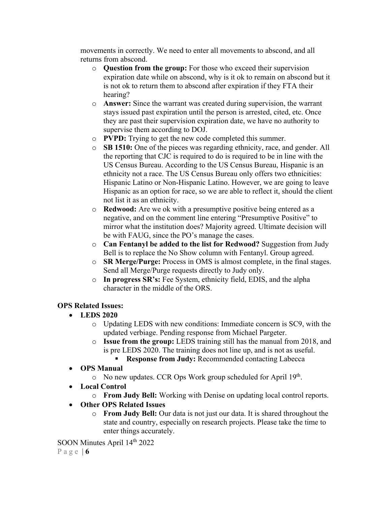movements in correctly. We need to enter all movements to abscond, and all returns from abscond.

- o **Question from the group:** For those who exceed their supervision expiration date while on abscond, why is it ok to remain on abscond but it is not ok to return them to abscond after expiration if they FTA their hearing?
- o **Answer:** Since the warrant was created during supervision, the warrant stays issued past expiration until the person is arrested, cited, etc. Once they are past their supervision expiration date, we have no authority to supervise them according to DOJ.
- o **PVPD:** Trying to get the new code completed this summer.
- o **SB 1510:** One of the pieces was regarding ethnicity, race, and gender. All the reporting that CJC is required to do is required to be in line with the US Census Bureau. According to the US Census Bureau, Hispanic is an ethnicity not a race. The US Census Bureau only offers two ethnicities: Hispanic Latino or Non-Hispanic Latino. However, we are going to leave Hispanic as an option for race, so we are able to reflect it, should the client not list it as an ethnicity.
- o **Redwood:** Are we ok with a presumptive positive being entered as a negative, and on the comment line entering "Presumptive Positive" to mirror what the institution does? Majority agreed. Ultimate decision will be with FAUG, since the PO's manage the cases.
- o **Can Fentanyl be added to the list for Redwood?** Suggestion from Judy Bell is to replace the No Show column with Fentanyl. Group agreed.
- o **SR Merge/Purge:** Process in OMS is almost complete, in the final stages. Send all Merge/Purge requests directly to Judy only.
- o **In progress SR's:** Fee System, ethnicity field, EDIS, and the alpha character in the middle of the ORS.

# **OPS Related Issues:**

- **LEDS 2020**
	- o Updating LEDS with new conditions: Immediate concern is SC9, with the updated verbiage. Pending response from Michael Pargeter.
	- o **Issue from the group:** LEDS training still has the manual from 2018, and is pre LEDS 2020. The training does not line up, and is not as useful.
		- **Response from Judy:** Recommended contacting Labecca
- **OPS Manual**
	- $\circ$  No new updates. CCR Ops Work group scheduled for April 19<sup>th</sup>.
- **Local Control**
	- o **From Judy Bell:** Working with Denise on updating local control reports.
- **Other OPS Related Issues**
	- o **From Judy Bell:** Our data is not just our data. It is shared throughout the state and country, especially on research projects. Please take the time to enter things accurately.

SOON Minutes April 14<sup>th</sup> 2022

Page | **6**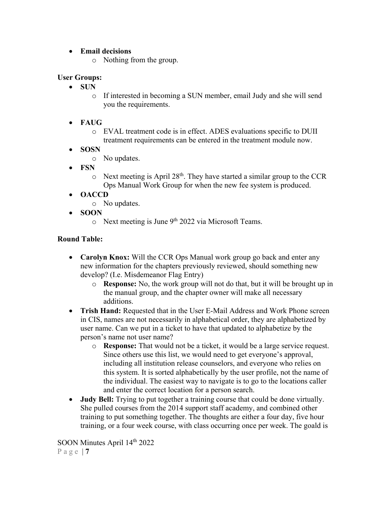#### • **Email decisions**

o Nothing from the group.

### **User Groups:**

- **SUN** 
	- o If interested in becoming a SUN member, email Judy and she will send you the requirements.
- **FAUG**
	- o EVAL treatment code is in effect. ADES evaluations specific to DUII treatment requirements can be entered in the treatment module now.
- **SOSN**
	- o No updates.
- **FSN**
	- $\circ$  Next meeting is April 28<sup>th</sup>. They have started a similar group to the CCR Ops Manual Work Group for when the new fee system is produced.
- **OACCD**
	- o No updates.
- **SOON**
	- $\circ$  Next meeting is June 9<sup>th</sup> 2022 via Microsoft Teams.

### **Round Table:**

- **Carolyn Knox:** Will the CCR Ops Manual work group go back and enter any new information for the chapters previously reviewed, should something new develop? (I.e. Misdemeanor Flag Entry)
	- o **Response:** No, the work group will not do that, but it will be brought up in the manual group, and the chapter owner will make all necessary additions.
- **Trish Hand:** Requested that in the User E-Mail Address and Work Phone screen in CIS, names are not necessarily in alphabetical order, they are alphabetized by user name. Can we put in a ticket to have that updated to alphabetize by the person's name not user name?
	- o **Response:** That would not be a ticket, it would be a large service request. Since others use this list, we would need to get everyone's approval, including all institution release counselors, and everyone who relies on this system. It is sorted alphabetically by the user profile, not the name of the individual. The easiest way to navigate is to go to the locations caller and enter the correct location for a person search.
- **Judy Bell:** Trying to put together a training course that could be done virtually. She pulled courses from the 2014 support staff academy, and combined other training to put something together. The thoughts are either a four day, five hour training, or a four week course, with class occurring once per week. The goald is